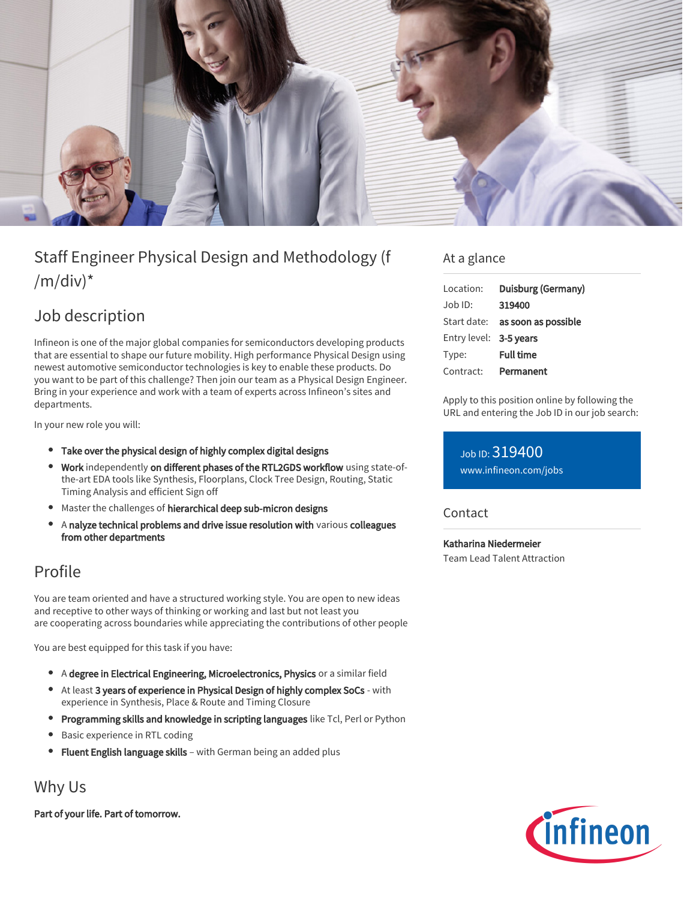

# Staff Engineer Physical Design and Methodology (f  $/m/div)^*$

## Job description

Infineon is one of the major global companies for semiconductors developing products that are essential to shape our future mobility. High performance Physical Design using newest automotive semiconductor technologies is key to enable these products. Do you want to be part of this challenge? Then join our team as a Physical Design Engineer. Bring in your experience and work with a team of experts across Infineon's sites and departments.

In your new role you will:

- Take over the physical design of highly complex digital designs
- Work independently on different phases of the RTL2GDS workflow using state-ofthe-art EDA tools like Synthesis, Floorplans, Clock Tree Design, Routing, Static Timing Analysis and efficient Sign off
- Master the challenges of hierarchical deep sub-micron designs
- A nalyze technical problems and drive issue resolution with various colleagues from other departments

### Profile

You are team oriented and have a structured working style. You are open to new ideas and receptive to other ways of thinking or working and last but not least you are cooperating across boundaries while appreciating the contributions of other people

You are best equipped for this task if you have:

- A degree in Electrical Engineering, Microelectronics, Physics or a similar field
- At least 3 years of experience in Physical Design of highly complex SoCs with experience in Synthesis, Place & Route and Timing Closure
- Programming skills and knowledge in scripting languages like Tcl, Perl or Python
- Basic experience in RTL coding
- Fluent English language skills with German being an added plus

### Why Us

Part of your life. Part of tomorrow.

#### At a glance

| Duisburg (Germany)                     |
|----------------------------------------|
| 319400                                 |
| Start date: <b>as soon as possible</b> |
| Entry level: 3-5 years                 |
| <b>Full time</b>                       |
| Permanent                              |
|                                        |

Apply to this position online by following the URL and entering the Job ID in our job search:

Job ID: 319400 [www.infineon.com/jobs](https://www.infineon.com/jobs)

#### **Contact**

Katharina Niedermeier Team Lead Talent Attraction